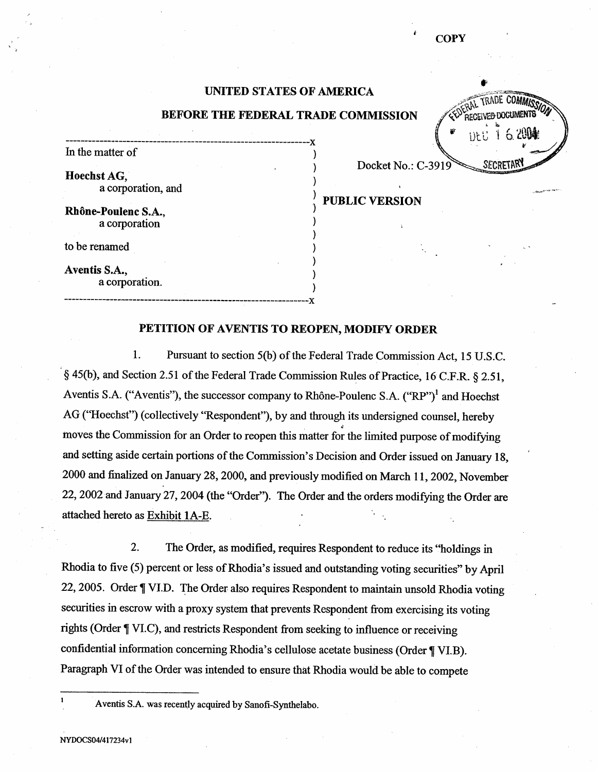## UNITED STATES OF AMERICA

## BEFORE THE FEDERAL TRADE COMMISSION

i-- Hoechst AG. a corporation, and <br>a corporation, and <br>a corporation, and <br>a public VERSION

Rhône-Poulenc S.A., a corporation

to be renamed

In the matter of

Aventis S. a corporation. ::C

## PETITION OF AVENTIS TO REOPEN, MODIFY ORDER

------ -- ---- J(

 $\mathbf{1}$ . Pursuant to section 5(b) of the Federal Trade Commission Act, 15 U.S.C. § 45(b), and Section 2.51 of the Federal Trade Commission Rules of Practice, 16 C.F.R. § 2.51, Aventis S.A. ("Aventis"), the successor company to Rhône-Poulenc S.A.  $("RP")^1$  and Hoechst AG ("Hoechst") (collectively "Respondent"), by and through its undersigned counsel, hereby moves the Commission for an Order to reopen this matter for the limited purpose of modifying and setting aside certain portions of the Commission's Decision and Order issued on January 18, 2000 and finalized on January 28, 2000, and previously modified on March 11, 2002, November 22, 2002 and January 27, 2004 (the "Order"). The Order and the orders modifying the Order are attached hereto as Exhibit 1A-E.

 $\overline{2}$ . The Order, as modified, requires Respondent to reduce its "holdings in Rhodia to five (5) percent or less of Rhodia's issued and outstanding voting securities" by April 22, 2005. Order ¶ VI.D. The Order also requires Respondent to maintain unsold Rhodia voting securities in escrow with a proxy system that prevents Respondent from exercising its voting rights (Order ¶ VI.C), and restricts Respondent from seeking to influence or receiving confidential information concerning Rhodia's cellulose acetate business (Order ¶ VI.B). Paragraph VI of the Order was intended to ensure that Rhodia would be able to compete

MISS/Q

Aventis S.A. was recently acquired by Sanofi-Synthelabo.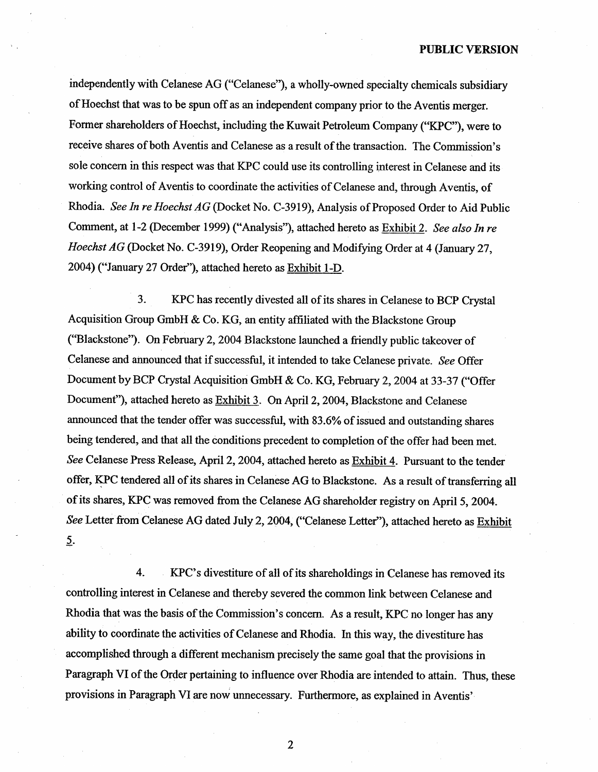independently with Celanese AG ("Celanese"), a wholly-owned specialty chemicals subsidiary of Hoechst that was to be spun off as an independent company prior to the Aventis merger. Former shareholders of Hoechst, including the Kuwait Petroleum Company ("KPC"), were to receive shares of both Aventis and Celanese as a result of the transaction. The Commission's sole concern in this respect was that KPC could use its controlling interest in Celanese and its workig control of Aventis to coordinate the activities of Celanese and, through Aventis, of Rhodia. See In re Hoechst AG (Docket No. C-3919), Analysis of Proposed Order to Aid Public Comment, at 1-2 (December 1999) ("Analysis"), attached hereto as Exhibit 2. See also In re Hoechst AG (Docket No. C-3919), Order Reopening and Modifying Order at 4 (January 27, 2004) ("January 27 Order"), attached hereto as Exhibit 1-D.

3. KPC has recently divested all of its shares in Celancse to BCP Crystal Acquisition Group GmbH & Co. KG, an entity affliated with the Blackstone Group ("Blackstone"). On February 2, 2004 Blackstone launched a friendly public takeover of Celanese and announced that if successful, it intended to take Celanese private. See Offer Document by BCP Crystal Acquisition GmbH & Co. KG, February 2, 2004 at 33-37 ("Offer Document"), attached hereto as Exhibit 3. On April 2, 2004, Blackstone and Celanese anounced that the tender offer was successful, with 83.6% of issucd and outstanding shares being tendered, and that all the conditions precedent to completion of the offer had been met. See Celanese Press Release, April 2, 2004, attached hereto as Exhibit 4. Pursuant to the tender offer, KPC tendered all of its shares in Celanese AG to Blackstone. As a result of transferring all of its shares, KPC was removed trom the Celanese AG shareholder registry on April 5, 2004. See Letter from Celanese AG dated July 2, 2004, ("Celanese Letter"), attached hereto as Exhibit  $\overline{2}$ .

4. KPC's divestiture of all of its shareholdings in Celanese has removed its controlling interest in Celanese and thereby severed the common link between Celanese and Rhodia that was the basis of the Commission's concern. As a result, KPC no longer has any ability to coordinate the activities of Celanese and Rhodia. In this way, the divestitue has accomplished though a different mechanism precisely the same goal that the provisions in Paragraph VI of the Order pertaining to influence over Rhodia are intended to attain. Thus, these provisions in Paragraph VI are now unnecessary. Furthermore, as explained in Aventis'

 $\boldsymbol{2}$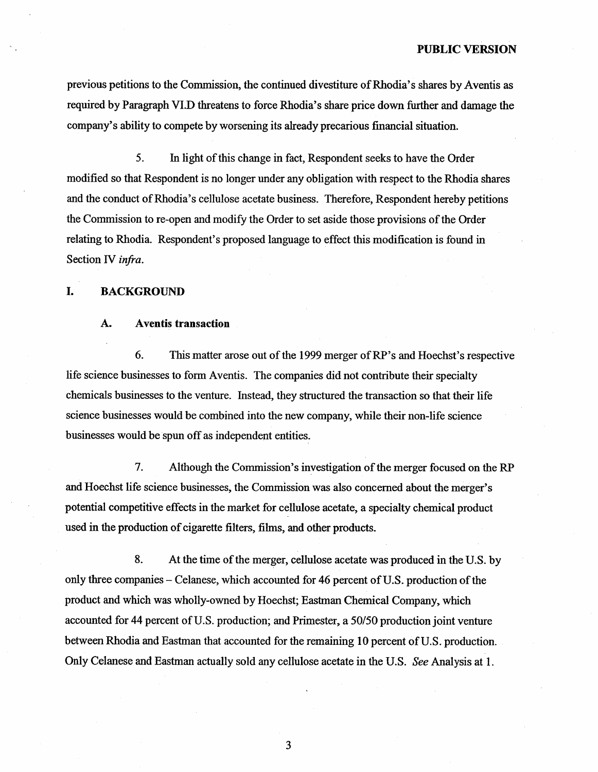previous petitions to the Commission, the continued divestiture of Rhodia's shares by Aventis as required by Paragraph VI.D threatens to force Rhodia's share price down further and damage the company's ability to compete by worsening its already precarious financial situation.

5. In light of this change in fact, Respondent seeks to have the Order modified so that Respondent is no longer under any obligation with respect to the Rhodia shares and the conduct of Rhodia's cellulose acetate business. Therefore, Respondent hereby petitions the Commission to re-open and modify the Order to set aside those provisions of the Order relating to Rhodia. Respondent's proposed language to effect this modification is found in Section IV infra.

### I. BACKGROUND

#### A. Aventis transaction

6. This matter arose out of the 1999 merger of RP's and Hoechst's respective life science businesses to form Aventis. The companies did not contribute their specialty chemicals businesses to the venture. Instead, they structured the transaction so that their life science businesses would be combined into the new company, while their non-life science businesses would be spun off as independent entities.

7. Although the Commission's investigation of the merger focused on the RP and Hoechst life science businesses, the Commission was also concerned about the merger potential competitive effects in the market for cellulose acetate, a specialty chemical product used in the production of cigarette filters, fihns, and other products.

8. At the time of the merger, cellulose acetate was produced in the U.S. by only three companes - Celanese, which accounted for 46 percent of U.S. production of the product and which was wholly-owned by Hoechst; Eastman Chemical Company, which accounted for 44 percent of U.S. production; and Primester, a 50/50 production joint venture between Rhodia and Eastman that accounted for the remaining 10 percent of U.S. production. Only Celanese and Eastman actually sold any cellulose acetate in the U.S. See Analysis at 1.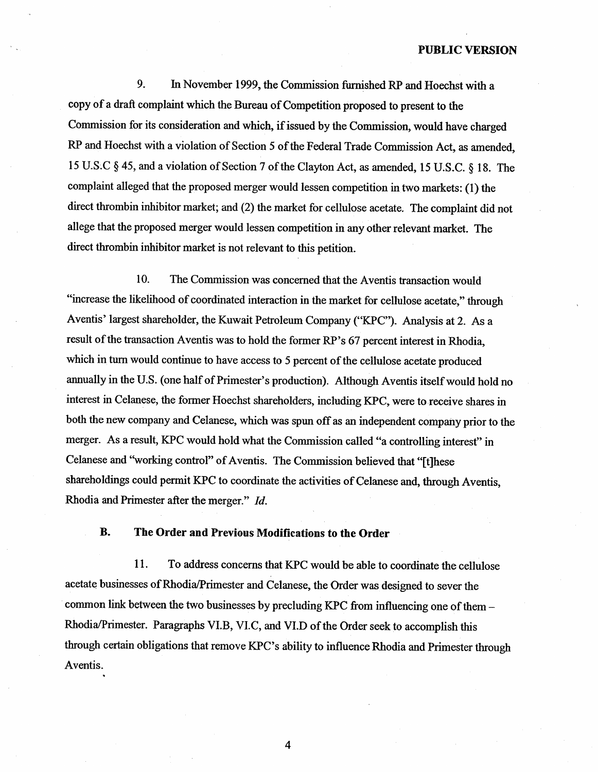9. In November 1999, the Commission furnished RP and Hoechst with a copy of a draft complait which the Bureau of Competition proposed to present to the Commission for its consideration and which, if issued by the Commission, would have charged RP and Hoechst with a violation of Section 5 of the Federal Trade Commission Act, as amended 15 U.S.C § 45, and a violation of Section 7 of the Clayton Act, as amended, 15 U.S.C. § 18. The complaint alleged that the proposed merger would lessen competition in two markets: (I) the direct thrombin inhibitor market; and (2) the market for cellulose acetate. The complaint did not allege that the proposed merger would lessen competition in any other relevant market. The direct thombin inhibitor market is not relevant to this petition.

10. The Commission was concerned that the Aventis transaction would "increase the likelihood of coordinated interaction in the market for cellulose acetate," through Aventis' largest shareholder, the Kuwait Petroleum Company ("KPC"). Analysis at 2. As a result of the transaction Aventis was to hold the former RP's 67 percent interest in Rhodia, which in turn would continue to have access to 5 percent of the cellulose acetate produced annually in the U.S. (one half of Primester's production). Although Aventis itself would hold no interest in Celanese, the former Hoechst shareholders, including KPC, were to receive shares in both the new company and Celanese, which was spun off as an independent company prior to the merger. As a result, KPC would hold what the Commission called "a controlling interest" in Celanese and "working control" of Aventis. The Commission believed that "[t]hese shareholdings could permit KPC to coordinate the activities of Celanese and, through Aventis, Rhodia and Primester after the merger." Id.

### **B.** The Order and Previous Modifcations to the Order

11. To address concerns that KPC would be able to coordinate the cellulose acetate businesses of Rhodia/Primester and Celanese, the Order was designed to sever the common link between the two businesses by precluding KPC from influencing one of them - Rhodia/rimester. Paragraphs VI.B, VI.C, and VI.D of the Order seek to accomplish this through certain obligations that remove KPC's ability to influence Rhodia and Primester through Aventis.

 $\overline{4}$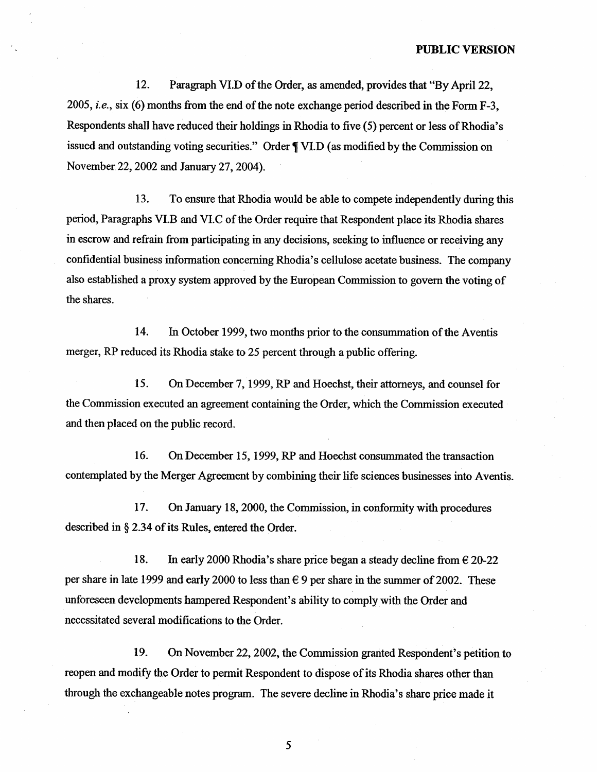12. Paragraph VI.D of the Order, as amended, provides that "By April 22 2005, *i.e.*, six (6) months from the end of the note exchange period described in the Form F-3, Respondents shall have reduced their holdings in Rhodia to five (5) percent or less of Rhodia issued and outstanding voting securities." Order  $\P$  VI.D (as modified by the Commission on November 22, 2002 and January 27, 2004).

13. To ensure that Rhodia would be able to compete independently during this period, Paragraphs VI.B and VI.C of the Order require that Respondent place its Rhodia shares in escrow and refrain from paricipating in any decisions, seeking to influence or receiving any confidential business information concerning Rhodia's cellulose acetate business. The company also established a proxy system approved by the European Commission to govern the voting of the shares.

14. In October 1999, two months prior to the consummation of the Aventis merger, RP reduced its Rhodia stake to 25 percent through a public offering.

15. On December 7, 1999, RP and Hoechst, their attorneys, and counsel for the Commission executed an agreement containing the Order, which the Commission executed and then placed on the public record.

16. On December 15, 1999, RP and Hoechst consummated the transaction contemplated by the Merger Agreement by combining their life sciences businesses into Aventis.

17. On January 18, 2000, the Commission, in conformity with procedures described in  $\S 2.34$  of its Rules, entered the Order.

18. In early 2000 Rhodia's share price began a steady decline from  $\epsilon$  20-22 per share in late 1999 and early 2000 to less than  $\epsilon$  9 per share in the summer of 2002. These unforeseen developments hampered Respondent's ability to comply with the Order and necessitated several modifications to the Order.

19. On November 22, 2002, the Commission granted Respondent's petition to reopen and modify the Order to permit Respondent to dispose of its Rhodia shares other than through the exchangeable notes program. The severe decline in Rhodia's share price made it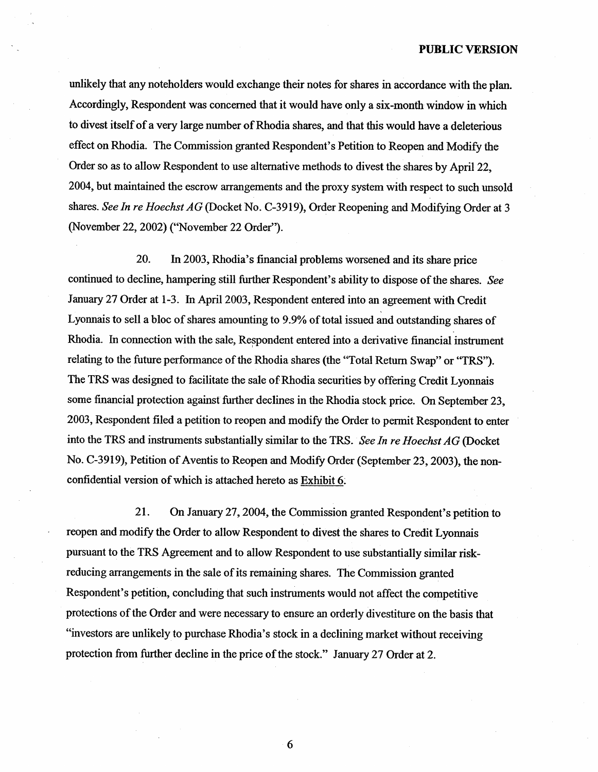unlikely that any noteholders would exchange their notes for shares in accordance with the plan. Accordingly, Respondent was concerned that it would have only a six-month window in which to divest itself of a very large number of Rhodia shares, and that this would have a deleterious effect on Rhodia. The Commission granted Respondent's Petition to Reopen and Modify the Order so as to allow Respondent to use alternative methods to divest the shares by April 22 2004, but maintained the escrow arrangements and the proxy system with respect to such unsold shares. See In re Hoechst AG (Docket No. C-3919), Order Reopening and Modifying Order at 3 (November 22, 2002) ("November 22 Order

20. In 2003, Rhodia's financial problems worsened and its share price continued to decline, hampering still further Respondent's ability to dispose of the shares. See January 27 Order at 1-3. In April 2003, Respondent entered into an agreement with Credit Lyonnais to sell a bloc of shares amounting to 9.9% of total issued and outstanding shares of Rhodia. In connection with the sale, Respondent entered into a derivative financial instrument relating to the future performance of the Rhodia shares (the "Total Return Swap" or "TRS"). The TRS was designed to facilitate the sale of Rhodia securities by offering Credit Lyonnais some financial protection against further declines in the Rhodia stock price. On September 23. 2003, Respondent filed a petition to reopen and modify the Order to permit Respondent to enter into the TRS and instruments substantially similar to the TRS. See In re Hoechst AG (Docket No. C-3919), Petition of Aventis to Reopen and Modify Order (September 23, 2003), the nonconfidential version of which is attached hereto as Exhibit 6.

21. On January 27, 2004, the Commission granted Respondent's petition to reopen and modify the Order to allow Respondent to divest the shares to Credit Lyonnais pursuant to the TRS Agreement and to allow Respondent to use substantially similar riskreducing arrangements in the sale of its remaining shares. The Commission granted Respondent's petition, concluding that such instruments would not affect the competitive protections of the Order and were necessary to ensure an orderly divestiture on the basis that "investors are unlikely to purchase Rhodia's stock in a declining market without receiving protection from further decline in the price of the stock." January 27 Order at 2.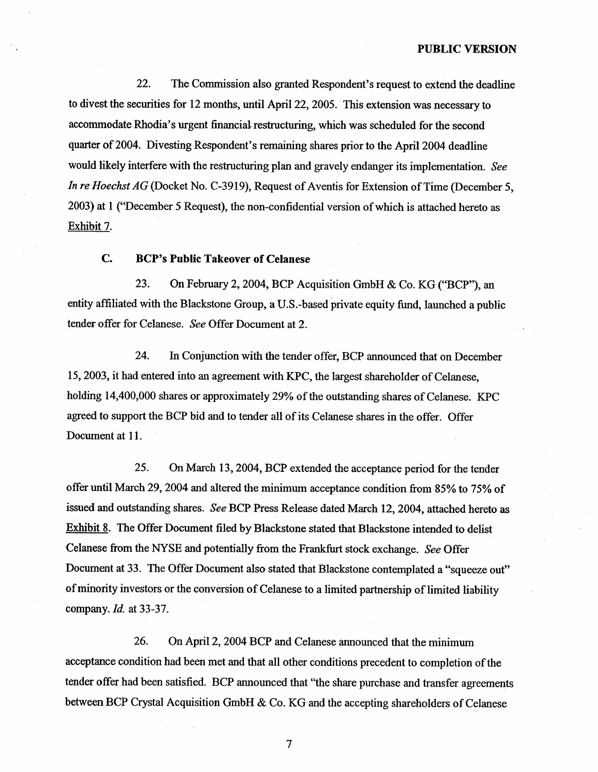22. The Commission also granted Respondent's request to extend the deadline to divest the securities for 12 months, until April 22, 2005. This extension was necessary to accommodate Rhodia's urgent financial restructuring, which was scheduled for the second quarter of 2004. Divesting Respondent's remaining shares prior to the April 2004 deadline would likely interfere with the restructuring plan and gravely endanger its implementation. See In re Hoechst AG (Docket No. C-3919), Request of Aventis for Extension of Time (December 5, 2003) at 1 ("December 5 Request), the non-confidential version of which is attached hereto as Exhibit 7.

### $C_{\bullet}$ BCP's Public Takeover of Celanese

23. On February 2, 2004, BCP Acquisition GmbH & Co. KG ("BCP"), an entity affiliated with the Blackstone Group, a U.S.-based private equity fund, launched a public tender offer for Celanese. See Offer Document at 2.

24. In Conjunction with the tender offer, BCP anounced that on December 15, 2003, it had entered into an agreement with KPC, the largest shareholder of Celanese, holding 14,400,000 shares or approximately 29% of the outstanding shares of Celanese. KPC agreed to support the BCP bid and to tender all of its Celanese shares in the offer. Offer Document at 11.

25. On March 13, 2004, BCP extended the acceptance period for the tender offer until March 29, 2004 and altered the minimum acceptance condition from 85% to 75% of issued and outstanding shares. See BCP Press Release dated March 12, 2004, attached hereto as Exhibit 8. The Offer Document filed by Blackstone stated that Blackstone intended to delist Celanese from the NYSE and potentially from the Frankfurt stock exchange. See Offer Document at 33. The Offer Document also stated that Blackstone contemplated a "squeeze out" of minority investors or the conversion of Celanese to a limited partnership of limited liability company. Id. at 33-37.

26. On April 2, 2004 BCP and Celanese announced that the minimum acceptance condition had been met and that all other conditions precedent to completion of the tender offer had been satisfied. BCP anounced that "the share purchase and transfer agreements between BCP Crystal Acquisition GmbH & Co. KG and the accepting shareholders of Celanese

 $7\phantom{.0}$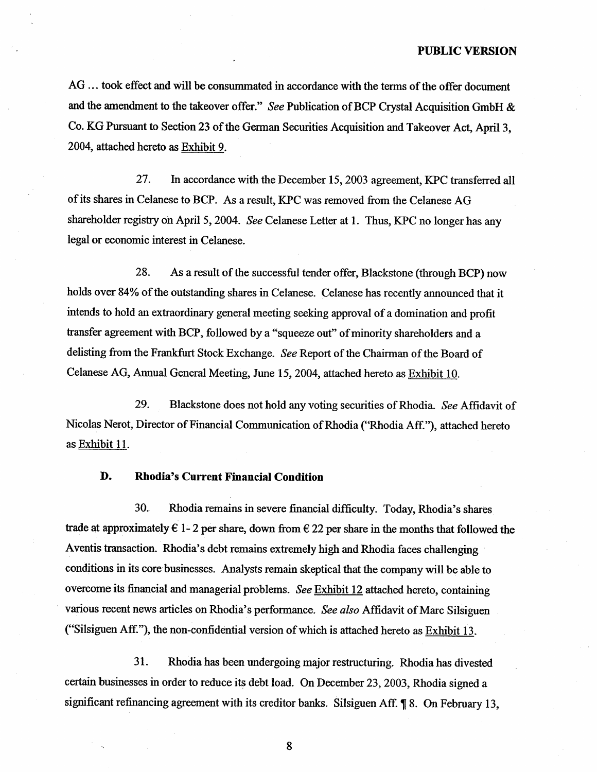AG ... took effect and will be consummated in accordance with the terms of the offer document and the amendment to the takeover offer." See Publication of BCP Crystal Acquisition GmbH  $\&$ Co. KG Pusuant to Section 23 of the German Securties Acquisition and Takeover Act, April3 2004, attached hereto as Exhibit 9.

27. In accordance with the December 15, 2003 agreement, KPC transferred all of its shares in Celanese to BCP. As a result, KPC was removed from the Celanese AG shareholder registry on April 5, 2004. See Celanese Letter at 1. Thus, KPC no longer has any legal or economic interest in Celanese.

28. As a result of the successful tender offer, Blackstone (through BCP) now holds over 84% of the outstanding shares in Celanese. Celanese has recently announced that it intends to hold an extraordinary general meeting seeking approval of a domination and profit transfer agreement with BCP, followed by a "squeeze out" of minority shareholders and a delisting from the Frankfurt Stock Exchange. See Report of the Chairman of the Board of Celanese AG, Annual General Meeting, June 15, 2004, attached hereto as Exhibit 10.

29. Blackstone does not hold any voting securties of Rhodia. See Affidavit of Nicolas Nerot, Director of Financial Communication of Rhodia ("Rhodia Aff."), attached hereto as Exhibit 11.

### D. Rhodia's Current Financial Condition

30. Rhodia remains in severe financial difficulty. Today, Rhodia's shares trade at approximately  $\epsilon$  1- 2 per share, down from  $\epsilon$  22 per share in the months that followed the Aventis transaction. Rhodia's debt remains extremely high and Rhodia faces challenging conditions in its core businesses. Analysts remain skeptical that the company will be able to overcome its financial and managerial problems. See  $Exhibit 12$  attached hereto, containing various recent news articles on Rhodia's performance. See also Affidavit of Marc Silsiguen ("Silsiguen Aff."), the non-confidential version of which is attached hereto as  $Exhibit 13$ .

31. Rhodia has been undergoing major restructurng. Rhodia has divested certain businesses in order to reduce its debt load. On December 23, 2003, Rhodia signed a significant refinancing agreement with its creditor banks. Silsiguen Aff. ¶ 8. On February 13,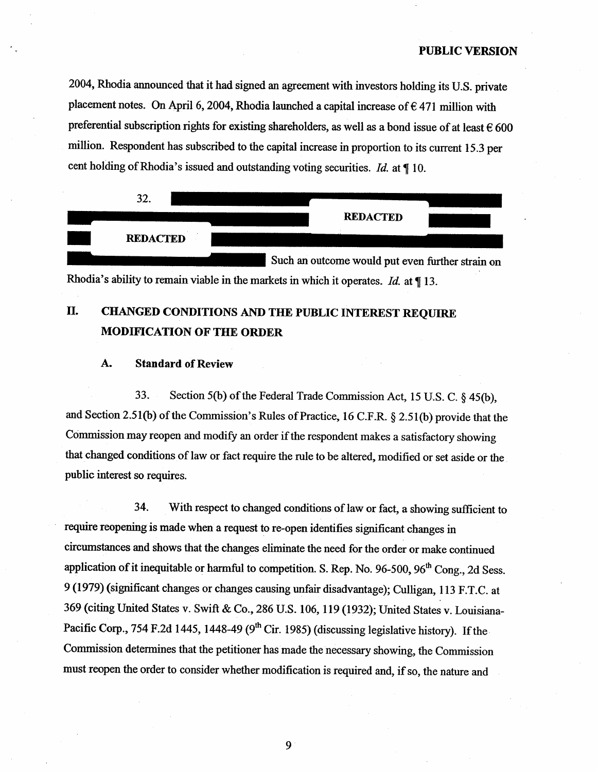2004, Rhodia announced that it had signed an agreement with investors holding its U.S. private placement notes. On April 6, 2004, Rhodia launched a capital increase of  $\epsilon$  471 million with preferential subscription rights for existing shareholders, as well as a bond issue of at least  $\epsilon$  600 million. Respondent has subscribed to the capital increase in proportion to its current 15.3 per cent holding of Rhodia's issued and outstanding voting securities. Id. at  $\P$  10.



Rhodia's ability to remain viable in the markets in which it operates. *Id.* at  $\parallel$  13.

## II. CHANGED CONDITIONS AND THE PUBLIC INTEREST REQUIRE MODIFICATION OF THE ORDER

#### A. Standard of Review

33. Section 5(b) of the Federal Trade Commission Act, 15 U.S. C.  $\S$  45(b), and Section 2.51(b) of the Commission's Rules of Practice, 16 C.F.R.  $\S$  2.51(b) provide that the Commission may reopen and modify an order if the respondent makes a satisfactory showing that changed conditions of law or fact require the rule to be altered, modified or set aside or the public interest so requires.

34. With respect to changed conditions of law or fact, a showing sufficient to require reopening is made when a request to re-open identifies significant changes in circumstaces and shows that the changes eliminate the need for the order or make continued application of it inequitable or harmful to competition. S. Rep. No. 96-500, 96<sup>th</sup> Cong., 2d Sess. 9 (1979) (signficant changes or changes causing unfair disadvantage); Culligan, 113 F. C. at 369 (citing United States v. Swift & Co., 286 U.S. 106, 119 (1932); United States v. Louisiana-Pacific Corp., 754 F.2d 1445, 1448-49 ( $9<sup>th</sup>$  Cir. 1985) (discussing legislative history). If the Commission determines that the petitioner has made the necessary showing, the Commission must reopen the order to consider whether modification is required and, if so, the nature and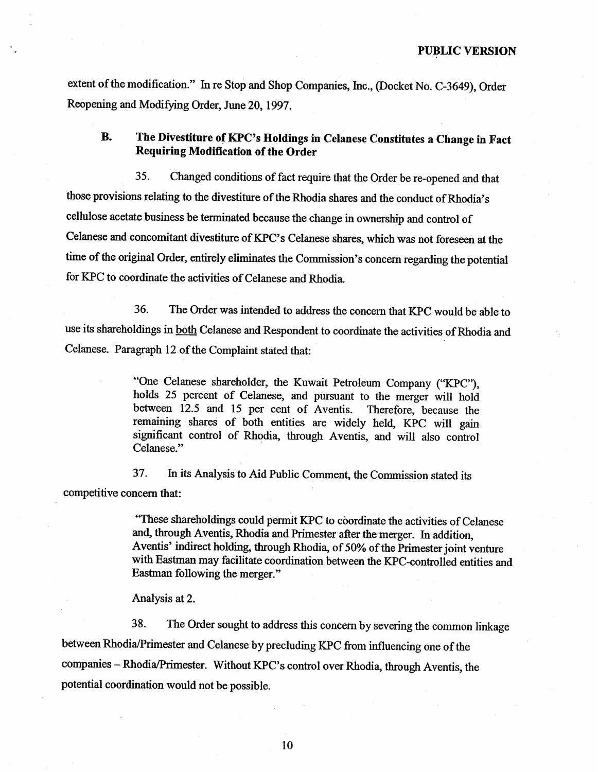extent of the modification." In re Stop and Shop Companies, Inc., (Docket No. C-3649), Order Reopening and Modifyng Order, June 20, 1997.

### The Divestiture of KPC's Holdings in Celanese Constitutes a Change in Fact **B.** Requiring Modification of the Order

35. Changed conditions of fact require that the Order be re-opened and that those provisions relating to the divestitue of the Rhodia shares and the conduct of Rhodia cellulose acetate business be terminated because the change in ownership and control of Celanese and concomitant divestiture of KPC's Celanese shares, which was not foreseen at the time of the original Order, entirely eliminates the Commission's concern regarding the potential for KPC to coordinate the activities of Celanese and Rhodia.

36. The Order was intended to address the concern that KPC would be able to use its shareholdings in both Celanese and Respondent to coordinate the activities of Rhodia and Celanese. Paragraph 12 of the Complaint stated that:

> "One Celanese shareholder, the Kuwait Petroleum Company ("KPC"), holds 25 percent of Celanese, and pursuant to the merger will hold between 12.5 and 15 per cent of Aventis. Therefore, because the remainng shares of both entities are widely held, KPC will gain significant control of Rhodia, through Aventis, and will also control Celanese."

37. In its Analysis to Aid Public Comment, the Commission stated its competitive concern that:

> These shareholdings could permt KPC to coordinate the activities of Celanese and, through Aventis, Rhodia and Primester after the merger. In addition, Aventis' indirect holding, through Rhodia, of 50% of the Primester joint venture with Eastman may facilitate coordination between the KPC-controlled entities and Eastman following the merger."

Analysis at 2.

38. The Order sought to address this concern by severing the common linkage between Rhodia/Primester and Celanese by precluding KPC from influencing one of the companies - Rhodia/Primester. Without KPC's control over Rhodia, through Aventis, the potential coordination would not be possible.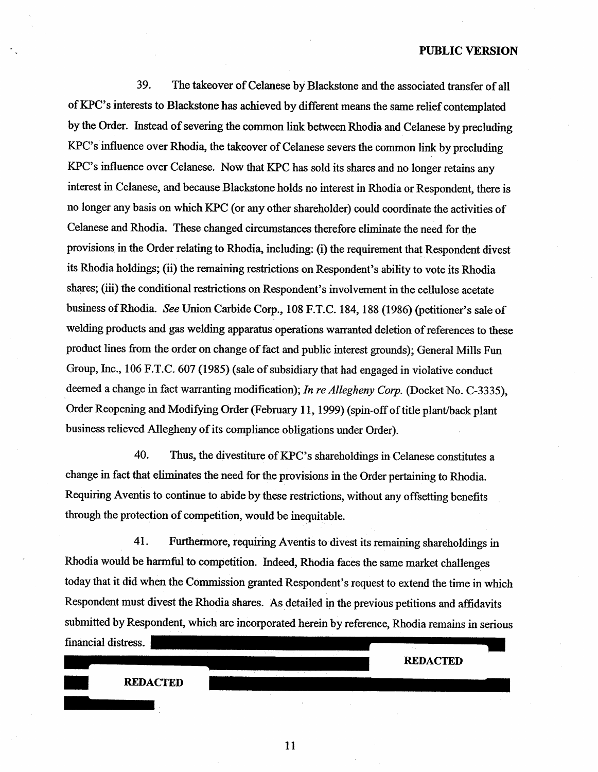39. The takeover of Celanese by Blackstone and the associated transfer of all of KPC's interests to Blackstone has achieved by different means the same relief contemplated by the Order. Instead of severing the common link between Rhodia and Celanese by precluding KPC's influence over Rhodia, the takeover of Celanese severs the common link by precluding KPC's influence over Celanese. Now that KPC has sold its shares and no longer retains any interest in Celanese, and because Blackstone holds no interest in Rhodia or Respondent, there is no longer any basis on which KPC (or any other shareholder) could coordinate the activities of Celanese and Rhodia. These changed circumstances therefore eliminate the need for the provisions in the Order relating to Rhodia, including: (i) the requirement that Respondent divest its Rhodia holdings; (ii) the remaining restrictions on Respondent's ability to vote its Rhodia shares; (iii) the conditional restrictions on Respondent's involvement in the cellulose acetate business of Rhodia. See Union Carbide Corp., 108 F.T.C. 184, 188 (1986) (petitioner's sale of welding products and gas welding apparatus operations waranted deletion of references to these product lines from the order on change of fact and public interest grounds); General Mills Fun Group, Inc., 106 F.T.C. 607 (1985) (sale of subsidiary that had engaged in violative conduct deemed a change in fact warranting modification); In re Allegheny Corp. (Docket No. C-3335), Order Reopening and Modifying Order (February 11, 1999) (spin-off of title plant/back plant business relieved Allegheny of its compliance obligations under Order).

40. Thus, the divestiture of KPC's shareholdings in Celanese constitutes a change in fact that elimiates the need for the provisions in the Order pertaining to Rhodia. Requiring Aventis to continue to abide by these restrictions, without any offsetting benefits through the protection of competition, would be inequitable.

41. Furthermore, requiring Aventis to divest its remaining shareholdings in Rhodia would be harmful to competition. Indeed, Rhodia faces the same market challenges today that it did when the Commission granted Respondent's request to extend the time in which Respondent must divest the Rhodia shares. As detailed in the previous petitions and affidavits submitted by Respondent, which are incorporated herein by reference, Rhodia remains in serious financial distress.

11

REDACTED

REDACTED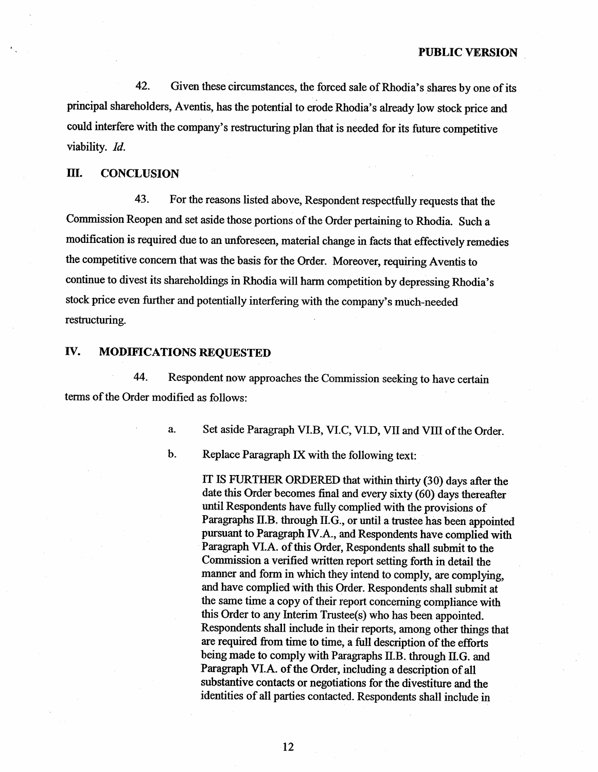42. Given these circumstances, the forced sale of Rhodia's shares by one of its principal shareholders, Aventis, has the potential to erode Rhodia's already low stock price and could interfere with the company's restructuring plan that is needed for its future competitive viability. Id.

## II. CONCLUSION

43. For the reasons listed above, Respondent respectfully requests that the Commission Reopen and set aside those portions of the Order pertaining to Rhodia. Such a modification is required due to an unforeseen, material change in facts that effectively rernedies the competitive concern that was the basis for the Order. Moreover, requiring Aventis to continue to divest its shareholdings in Rhodia will harm competition by depressing Rhodia's stock price even further and potentially interfering with the company's much-needed restructuring.

## IV. MODIFICATIONS REQUESTED

44. Respondent now approaches the Commission seeking to have certain terms of the Order modified as follows:

> Set aside Paragraph VI.B, VI.C, VI.D, VII and VIII of the Order.  $\mathbf{a}$ .

**.** Replace Paragraph IX with the following text:

> IT IS FURTHER ORDERED that within thirty (30) days after the date this Order becomes final and every sixty  $(60)$  days thereafter until Respondents have fully complied with the provisions of Paragraphs II.B. through II.G., or until a trustee has been appointed pursuant to Paragraph IV.A., and Respondents have complied with Paragraph VI.A. of this Order, Respondents shall submit to the Commission a verified written report setting forth in detail the maner and form in which they intend to comply, are complying, and have complied with this Order. Respondents shall submit at the same time a copy of their report concerning compliance with this Order to any Interim Trustee(s) who has been appointed. Respondents shall include in their reports, among other things that are required from time to time, a full description of the efforts being made to comply with Paragraphs II.B. though II.G. and Paragraph VI.A. of the Order, including a description of all substantive contacts or negotiations for the divestiture and the identities of all paries contacted. Respondents shall include in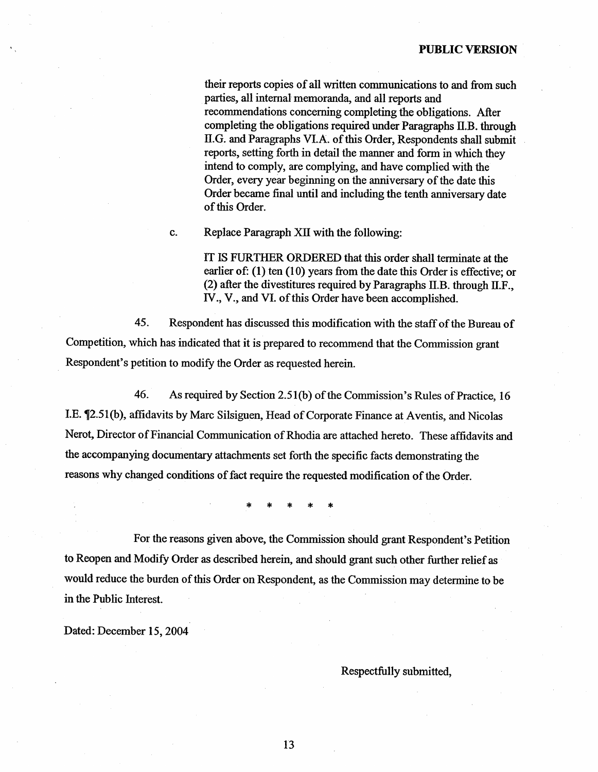their reports copies of all written communications to and from such paries, all internal memoranda, and all reports and recommendations concerning completing the obligations. Afer completing the obligations required under Paragraphs II.B. though II.G. and Paragraphs VI.A. of ths Order, Respondents shall submit reports, setting forth in detail the maner and form in which they intend to comply, are complyig, and have complied with the Order, every year beginning on the anniversary of the date this Order became final until and including the tenth anniversary date of this Order.

Replace Paragraph XII with the following: c.

> IT IS FURTHER ORDERED that ths order shall terminate at the earlier of: (1) ten (10) years from the date this Order is effective; or (2) after the divestitures required by Paragraphs II.B. through II. IV., V., and VI. of this Order have been accomplished.

45. Respondent has discussed this modification with the staff of the Bureau of Competition, which has indicated that it is prepared to recommend that the Commission grant Respondent's petition to modify the Order as requested herein.

46. As required by Section 2.51(b) of the Commission's Rules of Practice, 16 I.E. ¶2.51(b), affidavits by Marc Silsiguen, Head of Corporate Finance at Aventis, and Nicolas Nerot, Director of Financial Communcation of Rhodia are attached hereto. These affidavits and the accompanying documentary attachments set forth the specific facts demonstrating the reasons why changed conditions of fact require the requested modification of the Order.

For the reasons given above, the Commission should grant Respondent's Petition to Reopen and Modify Order as described herein, and should grant such other further relief as would reduce the burden of this Order on Respondent, as the Commission may determine to be in the Public Interest.

Dated: December 15, 2004

### Respectfully submitted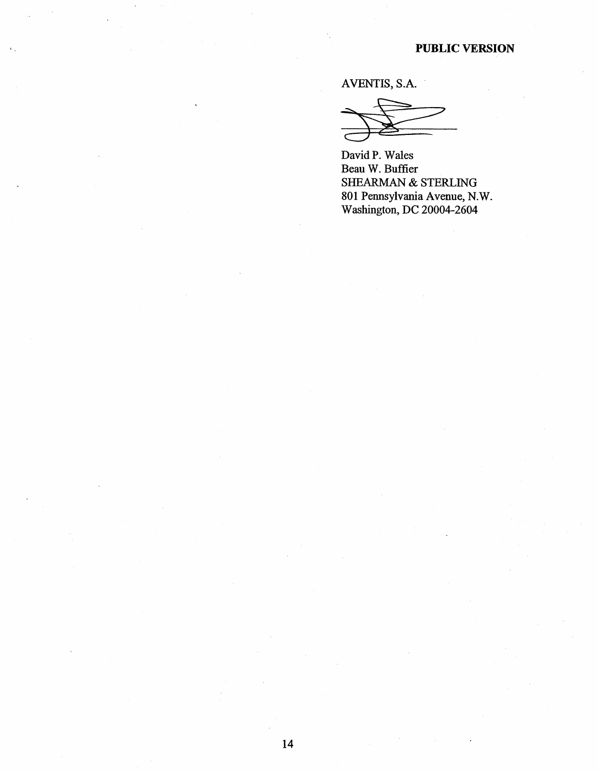AVENTIS, S.A.

David P. Wales Beau W. Buffier SHEARMAN & STERLING 801 Pennsylvania Avenue, N.W. Washington, DC 20004-2604